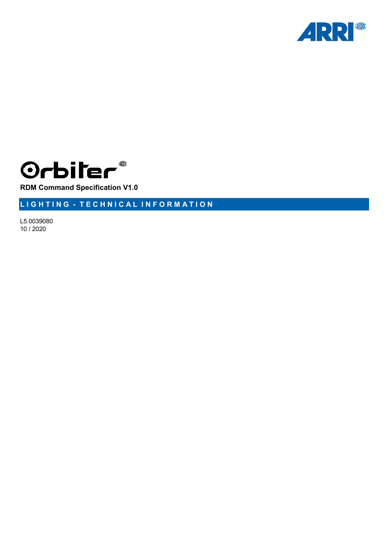



**RDM Command Specification V1.0**

**L I G H T I N G - T E C H N I C A L I N F O R M A T I O N**

L5.0039080 10 / 2020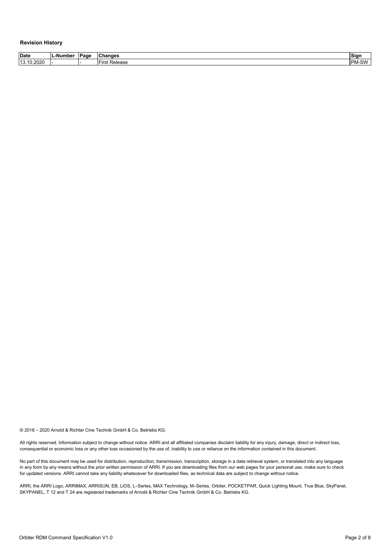#### <span id="page-1-0"></span>**Revision History**

| <b>Date</b> | -Number_ | Page | <b>Changes</b>             | Sign              |
|-------------|----------|------|----------------------------|-------------------|
| 13.10.2020  | .        |      | –<br>-ire<br>Release<br>ы. | M-SW<br><b>DN</b> |

© 2018 – 2020 Arnold & Richter Cine Technik GmbH & Co. Betriebs KG.

All rights reserved. Information subject to change without notice. ARRI and all affiliated companies disclaim liability for any injury, damage, direct or indirect loss, consequential or economic loss or any other loss occasioned by the use of, inability to use or reliance on the information contained in this document.

No part of this document may be used for distribution, reproduction, transmission, transcription, storage in a data retrieval system, or translated into any language in any form by any means without the prior written permission of ARRI. If you are downloading files from our web pages for your personal use, make sure to check for updated versions. ARRI cannot take any liability whatsoever for downloaded files, as technical data are subject to change without notice.

ARRI, the ARRI Logo, ARRIMAX, ARRISUN, EB, LiOS, L–Series, MAX Technology, M–Series, Orbiter, POCKETPAR, Quick Lighting Mount, True Blue, SkyPanel, SKYPANEL, T 12 and T 24 are registered trademarks of Arnold & Richter Cine Technik GmbH & Co. Betriebs KG.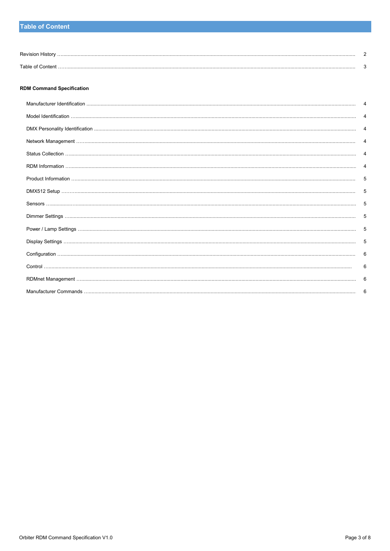# **Table of Content**

| <b>Dovicio</b>                   |  |
|----------------------------------|--|
| $\rightarrow$ able $\rightarrow$ |  |

#### **RDM Command Specification**

| 5 |
|---|
| 5 |
| 5 |
| 5 |
| 5 |
| 5 |
| 6 |
| 6 |
| 6 |
|   |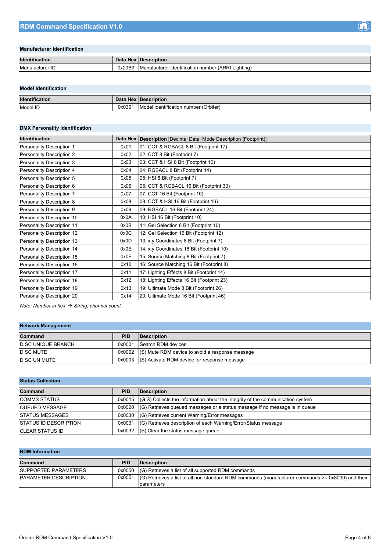## <span id="page-3-0"></span>**Manufacturer Identification**

| Identification  |        | Data Hex   Description                                  |
|-----------------|--------|---------------------------------------------------------|
| Manufacturer ID | 0x20B9 | Manufacturer identification number (ARRI Lighting)<br>◡ |

#### <span id="page-3-1"></span>**Model Identification**

| Identification |       | Data Hex Description                              |
|----------------|-------|---------------------------------------------------|
| Model ID       | 0x030 | I identification number (Orbiter)<br><b>Model</b> |

# <span id="page-3-2"></span>**DMX Personality Identification**

| <b>Identification</b>      |      | Data Hex   Description [Decimal Data: Mode Description (Footprint)] |
|----------------------------|------|---------------------------------------------------------------------|
| Personality Description 1  | 0x01 | 01: CCT & RGBACL 8 Bit (Footprint 17)                               |
| Personality Description 2  | 0x02 | 02: CCT 8 Bit (Footprint 7)                                         |
| Personality Description 3  | 0x03 | 03: CCT & HSI 8 Bit (Footprint 10)                                  |
| Personality Description 4  | 0x04 | 04: RGBACL 8 Bit (Footprint 14)                                     |
| Personality Description 5  | 0x05 | 05: HSI 8 Bit (Footprint 7)                                         |
| Personality Description 6  | 0x06 | 06: CCT & RGBACL 16 Bit (Footprint 30)                              |
| Personality Description 7  | 0x07 | 07: CCT 16 Bit (Footprint 10)                                       |
| Personality Description 8  | 0x08 | 08: CCT & HSI 16 Bit (Footprint 16)                                 |
| Personality Description 9  | 0x09 | 09: RGBACL 16 Bit (Footprint 24)                                    |
| Personality Description 10 | 0x0A | 10: HSI 16 Bit (Footprint 10)                                       |
| Personality Description 11 | 0x0B | 11: Gel Selection 8 Bit (Footprint 10)                              |
| Personality Description 12 | 0x0C | 12: Gel Selection 16 Bit (Footprint 12)                             |
| Personality Description 13 | 0x0D | 13: x,y Coordinates 8 Bit (Footprint 7)                             |
| Personality Description 14 | 0x0E | 14: x,y Coordinates 16 Bit (Footprint 10)                           |
| Personality Description 15 | 0x0F | 15: Source Matching 8 Bit (Footprint 7)                             |
| Personality Description 16 | 0x10 | 16: Source Matching 16 Bit (Footprint 8)                            |
| Personality Description 17 | 0x11 | 17: Lighting Effects 8 Bit (Footprint 14)                           |
| Personality Description 18 | 0x12 | 18: Lighting Effects 16 Bit (Footprint 23)                          |
| Personality Description 19 | 0x13 | 19: Ultimate Mode 8 Bit (Footprint 26)                              |
| Personality Description 20 | 0x14 | 20: Ultimate Mode 16 Bit (Footprint 46)                             |

*Note: Number in hex String, channel count*

## <span id="page-3-3"></span>**Network Management**

| <b>Command</b>             | <b>PID</b> | <b>IDescription</b>                                    |
|----------------------------|------------|--------------------------------------------------------|
| <b>IDISC UNIQUE BRANCH</b> |            | 0x0001 Search RDM devices                              |
| <b>IDISC MUTE</b>          |            | 0x0002 (S) Mute RDM device to avoid a response message |
| <b>DISC UN MUTE</b>        |            | 0x0003 (S) Activate RDM device for response message    |

## <span id="page-3-4"></span>**Status Collection**

| <b>Command</b>               | <b>PID</b> | <b>Description</b>                                                                      |
|------------------------------|------------|-----------------------------------------------------------------------------------------|
| <b>COMMS STATUS</b>          |            | $0x0015$ (G S) Collects the information about the integrity of the communication system |
| <b>QUEUED MESSAGE</b>        |            | $0x0020$ (G) Retrieves queued messages or a status message if no message is in queue    |
| <b>ISTATUS MESSAGES</b>      |            | 0x0030 (G) Retrieves current Warning/Error messages                                     |
| <b>STATUS ID DESCRIPTION</b> |            | 0x0031 (G) Retrieves description of each Warning/Error/Status message                   |
| <b>CLEAR STATUS ID</b>       |            | $0x0032$ (S) Clear the status message queue                                             |

## <span id="page-3-5"></span>**RDM Information**

| <b>Command</b>                | <b>PID</b> | <b>IDescription</b>                                                                                             |
|-------------------------------|------------|-----------------------------------------------------------------------------------------------------------------|
| <b>ISUPPORTED PARAMETERS</b>  |            | 0x0050 (G) Retrieves a list of all supported RDM commands                                                       |
| <b>IPARAMETER DESCRIPTION</b> |            | $0x0051$ (G) Retrieves a list of all non-standard RDM commands (manufacturer commands $\ge$ = 0x8000) and their |
|                               |            | parameters                                                                                                      |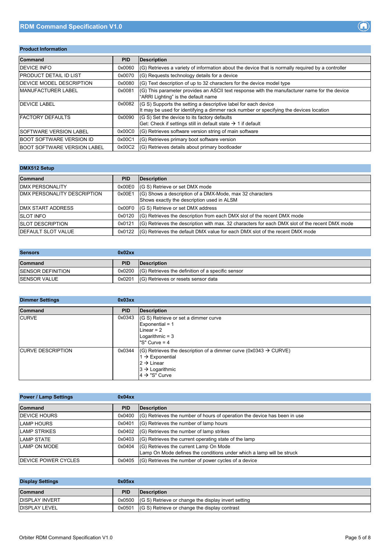# <span id="page-4-0"></span>**Product Information**

| <b>Command</b>                     | <b>PID</b> | <b>Description</b>                                                                                                                                         |
|------------------------------------|------------|------------------------------------------------------------------------------------------------------------------------------------------------------------|
| <b>IDEVICE INFO</b>                | 0x0060     | (G) Retrieves a variety of information about the device that is normally required by a controller                                                          |
| <b>IPRODUCT DETAIL ID LIST</b>     | 0x0070     | (G) Requests technology details for a device                                                                                                               |
| <b>IDEVICE MODEL DESCRIPTION</b>   | 0x0080     | $ $ (G) Text description of up to 32 characters for the device model type                                                                                  |
| <b>IMANUFACTURER LABEL</b>         | 0x0081     | (G) This parameter provides an ASCII text response with the manufacturer name for the device<br>"ARRI Lighting" is the default name                        |
| <b>DEVICE LABEL</b>                | 0x0082     | $(G S)$ Supports the setting a descriptive label for each device<br>It may be used for identifying a dimmer rack number or specifying the devices location |
| <b>FACTORY DEFAULTS</b>            | 0x0090     | (G S) Set the device to its factory defaults<br>Get: Check if settings still in default state $\rightarrow$ 1 if default                                   |
| <b>SOFTWARE VERSION LABEL</b>      | 0x00C0     | (G) Retrieves software version string of main software                                                                                                     |
| <b>BOOT SOFTWARE VERSION ID</b>    | 0x00C1     | (G) Retrieves primary boot software version                                                                                                                |
| <b>BOOT SOFTWARE VERSION LABEL</b> |            | 0x00C2 (G) Retrieves details about primary bootloader                                                                                                      |

## <span id="page-4-1"></span>**DMX512 Setup**

| <b>Command</b>                      | <b>PID</b> | Description                                                                                            |
|-------------------------------------|------------|--------------------------------------------------------------------------------------------------------|
| <b>IDMX PERSONALITY</b>             |            | 0x00E0 (G S) Retrieve or set DMX mode                                                                  |
| <b>IDMX PERSONALITY DESCRIPTION</b> | 0x00E1     | (G) Shows a description of a DMX-Mode, max 32 characters<br>Shows exactly the description used in ALSM |
| <b>IDMX START ADDRESS</b>           |            | 0x00F0 (G S) Retrieve or set DMX address                                                               |
| <b>SLOT INFO</b>                    |            | $0x0120$ (G) Retrieves the description from each DMX slot of the recent DMX mode                       |
| <b>ISLOT DESCRIPTION</b>            | 0x0121     | (G) Retrieves the description with max. 32 characters for each DMX slot of the recent DMX mode         |
| <b>IDEFAULT SLOT VALUE</b>          | 0x0122     | I(G) Retrieves the default DMX value for each DMX slot of the recent DMX mode                          |

<span id="page-4-2"></span>

| <b>Sensors</b>            | 0x02xx     |                                                              |
|---------------------------|------------|--------------------------------------------------------------|
| Command                   | <b>PID</b> | <b>IDescription</b>                                          |
| <b>ISENSOR DEFINITION</b> |            | $0x0200$ $(G)$ Retrieves the definition of a specific sensor |
| <b>ISENSOR VALUE</b>      | 0x0201     | (G) Retrieves or resets sensor data                          |

<span id="page-4-3"></span>

| <b>Dimmer Settings</b>   | 0x03xx     |                                                                                                                                                                                                      |
|--------------------------|------------|------------------------------------------------------------------------------------------------------------------------------------------------------------------------------------------------------|
| <b>Command</b>           | <b>PID</b> | <b>Description</b>                                                                                                                                                                                   |
| <b>CURVE</b>             | 0x0343     | (G S) Retrieve or set a dimmer curve<br>Exponential = $1$<br>Linear = $2$<br>Logarithmic $=$ 3<br>"S" Curve $= 4$                                                                                    |
| <b>CURVE DESCRIPTION</b> | 0x0344     | $ (G)$ Retrieves the description of a dimmer curve (0x0343 $\rightarrow$ CURVE)<br>1 $\rightarrow$ Exponential<br>$2 \rightarrow$ Linear<br>$3 \rightarrow$ Logarithmic<br>$4 \rightarrow$ "S" Curve |

<span id="page-4-4"></span>

| <b>Power / Lamp Settings</b> | 0x04xx     |                                                                           |
|------------------------------|------------|---------------------------------------------------------------------------|
| Command                      | <b>PID</b> | Description                                                               |
| <b>DEVICE HOURS</b>          | 0x0400     | (G) Retrieves the number of hours of operation the device has been in use |
| <b>LAMP HOURS</b>            | 0x0401     | (G) Retrieves the number of lamp hours                                    |
| <b>LAMP STRIKES</b>          | 0x0402     | (G) Retrieves the number of lamp strikes                                  |
| <b>LAMP STATE</b>            | 0x0403     | (G) Retrieves the current operating state of the lamp                     |
| LAMP ON MODE                 | 0x0404     | (G) Retrieves the current Lamp On Mode                                    |
|                              |            | Lamp On Mode defines the conditions under which a lamp will be struck     |
| <b>IDEVICE POWER CYCLES</b>  | 0x0405     | (G) Retrieves the number of power cycles of a device                      |

<span id="page-4-5"></span>

| <b>Display Settings</b> | 0x05xx     |                                                            |
|-------------------------|------------|------------------------------------------------------------|
| Command                 | <b>PID</b> | <b>Description</b>                                         |
| <b>IDISPLAY INVERT</b>  |            | 0x0500 (G S) Retrieve or change the display invert setting |
| <b>DISPLAY LEVEL</b>    |            | 0x0501 (G S) Retrieve or change the display contrast       |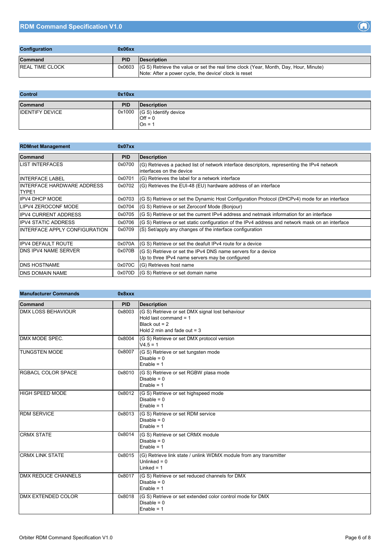<span id="page-5-0"></span>

| <b>Configuration</b>   | 0x06xx     |                                                                                                                                                        |
|------------------------|------------|--------------------------------------------------------------------------------------------------------------------------------------------------------|
| <b>Command</b>         | <b>PID</b> | <b>IDescription</b>                                                                                                                                    |
| <b>REAL TIME CLOCK</b> |            | $0x0603$ (G S) Retrieve the value or set the real time clock (Year, Month, Day, Hour, Minute)<br>Note: After a power cycle, the device' clock is reset |

<span id="page-5-1"></span>

| <b>Control</b>         | 0x10xx     |                                                       |
|------------------------|------------|-------------------------------------------------------|
| Command                | <b>PID</b> | Description                                           |
| <b>IDENTIFY DEVICE</b> |            | $0x1000$ (G S) Identify device<br>$Off = 0$<br>$On =$ |

<span id="page-5-2"></span>

| <b>RDMnet Management</b>             | 0x07xx     |                                                                                                                         |
|--------------------------------------|------------|-------------------------------------------------------------------------------------------------------------------------|
| Command                              | <b>PID</b> | <b>Description</b>                                                                                                      |
| <b>ILIST INTERFACES</b>              | 0x0700     | (G) Retrieves a packed list of network interface descriptors, representing the IPv4 network<br>interfaces on the device |
| <b>INTERFACE LABEL</b>               | 0x0701     | (G) Retrieves the label for a network interface                                                                         |
| IINTERFACE HARDWARE ADDRESS<br>TYPE1 | 0x0702     | (G) Retrieves the EUI-48 (EU) hardware address of an interface                                                          |
| <b>IPV4 DHCP MODE</b>                | 0x0703     | (G S) Retrieve or set the Dynamic Host Configuration Protocol (DHCPv4) mode for an interface                            |
| ILIPV4 ZEROCONF MODE                 | 0x0704     | (G S) Retrieve or set Zeroconf Mode (Bonjour)                                                                           |
| <b>IPV4 CURRENT ADDRESS</b>          | 0x0705     | (G S) Retrieve or set the current IPv4 address and netmask information for an interface                                 |
| <b>IPV4 STATIC ADDRESS</b>           | 0x0706     | (G S) Retrieve or set static configuration of the IPv4 address and network mask on an interface                         |
| IINTERFACE APPLY CONFIGURATION       | 0x0709     | (S) Set/apply any changes of the interface configuration                                                                |
| <b>IPV4 DEFAULT ROUTE</b>            | 0x070A     | (G S) Retrieve or set the deafult IPv4 route for a device                                                               |
| <b>IDNS IPV4 NAME SERVER</b>         | 0x070B     | (G S) Retrieve or set the IPv4 DNS name servers for a device<br>Up to three IPv4 name servers may be configured         |
| <b>DNS HOSTNAME</b>                  | 0x070C     | (G) Retrieves host name                                                                                                 |
| <b>IDNS DOMAIN NAME</b>              | 0x070D     | (G S) Retrieve or set domain name                                                                                       |

<span id="page-5-3"></span>

| <b>Manufacturer Commands</b> | 0x8xxx     |                                                                                                                                |
|------------------------------|------------|--------------------------------------------------------------------------------------------------------------------------------|
| Command                      | <b>PID</b> | <b>Description</b>                                                                                                             |
| <b>DMX LOSS BEHAVIOUR</b>    | 0x8003     | (G S) Retrieve or set DMX signal lost behaviour<br>Hold last command $= 1$<br>Black out $= 2$<br>Hold 2 min and fade out $=$ 3 |
| DMX MODE SPEC.               | 0x8004     | (G S) Retrieve or set DMX protocol version<br>$V4.5 = 1$                                                                       |
| <b>TUNGSTEN MODE</b>         | 0x8007     | (G S) Retrieve or set tungsten mode<br>Disable = $0$<br>Enable = $1$                                                           |
| <b>RGBACL COLOR SPACE</b>    | 0x8010     | (G S) Retrieve or set RGBW plasa mode<br>Disable = $0$<br>Enable = $1$                                                         |
| <b>HIGH SPEED MODE</b>       | 0x8012     | (G S) Retrieve or set highspeed mode<br>Disable = $0$<br>Enable = $1$                                                          |
| <b>RDM SERVICE</b>           | 0x8013     | (G S) Retrieve or set RDM service<br>Disable = $0$<br>Enable = $1$                                                             |
| <b>CRMX STATE</b>            | 0x8014     | (G S) Retrieve or set CRMX module<br>Disable = $0$<br>Enable = $1$                                                             |
| <b>CRMX LINK STATE</b>       | 0x8015     | (G) Retrieve link state / unlink WDMX module from any transmitter<br>Unlinked = $0$<br>Linked = $1$                            |
| <b>DMX REDUCE CHANNELS</b>   | 0x8017     | (G S) Retrieve or set reduced channels for DMX<br>Disable = $0$<br>Enable = $1$                                                |
| <b>DMX EXTENDED COLOR</b>    | 0x8018     | (G S) Retrieve or set extended color control mode for DMX<br>Disable = $0$<br>Enable = $1$                                     |

 $\left( \bigcap \right)$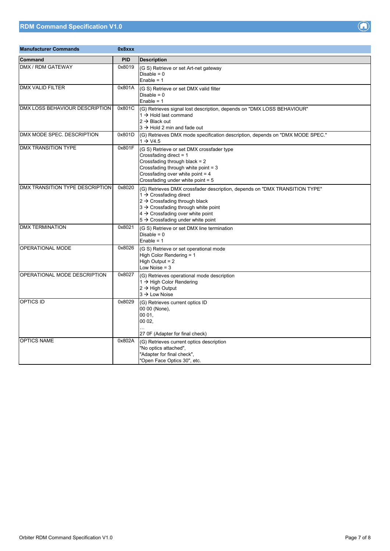| <b>Manufacturer Commands</b>    | 0x8xxx     |                                                                                                                                                                                                                                                                                                        |
|---------------------------------|------------|--------------------------------------------------------------------------------------------------------------------------------------------------------------------------------------------------------------------------------------------------------------------------------------------------------|
| <b>Command</b>                  | <b>PID</b> | <b>Description</b>                                                                                                                                                                                                                                                                                     |
| DMX / RDM GATEWAY               | 0x8019     | (G S) Retrieve or set Art-net gateway<br>Disable = $0$<br>Enable = $1$                                                                                                                                                                                                                                 |
| <b>DMX VALID FILTER</b>         | 0x801A     | (G S) Retrieve or set DMX valid filter<br>Disable = $0$<br>Enable = $1$                                                                                                                                                                                                                                |
| DMX LOSS BEHAVIOUR DESCRIPTION  | 0x801C     | (G) Retrieves signal lost description, depends on "DMX LOSS BEHAVIOUR"<br>1 $\rightarrow$ Hold last command<br>$2 \rightarrow$ Black out<br>$3 \rightarrow$ Hold 2 min and fade out                                                                                                                    |
| DMX MODE SPEC. DESCRIPTION      | 0x801D     | (G) Retrieves DMX mode specification description, depends on "DMX MODE SPEC."<br>$1 \rightarrow \text{V4.5}$                                                                                                                                                                                           |
| <b>DMX TRANSITION TYPE</b>      | 0x801F     | (G S) Retrieve or set DMX crossfader type<br>Crossfading direct = 1<br>Crossfading through black = 2<br>Crossfading through white point = 3<br>Crossfading over white point = 4<br>Crossfading under white point = 5                                                                                   |
| DMX TRANSITION TYPE DESCRIPTION | 0x8020     | (G) Retrieves DMX crossfader description, depends on "DMX TRANSITION TYPE"<br>1 $\rightarrow$ Crossfading direct<br>$2 \rightarrow C$ rossfading through black<br>3 → Crossfading through white point<br>$4 \rightarrow$ Crossfading over white point<br>$5 \rightarrow$ Crossfading under white point |
| <b>DMX TERMINATION</b>          | 0x8021     | (G S) Retrieve or set DMX line termination<br>Disable = $0$<br>Enable = $1$                                                                                                                                                                                                                            |
| <b>OPERATIONAL MODE</b>         | 0x8026     | (G S) Retrieve or set operational mode<br>High Color Rendering = 1<br>High Output = $2$<br>Low Noise $=$ 3                                                                                                                                                                                             |
| OPERATIONAL MODE DESCRIPTION    | 0x8027     | (G) Retrieves operational mode description<br>1 → High Color Rendering<br>$2 \rightarrow$ High Output<br>$3 \rightarrow$ Low Noise                                                                                                                                                                     |
| <b>OPTICS ID</b>                | 0x8029     | (G) Retrieves current optics ID<br>00 00 (None),<br>00 01,<br>00 02,<br>.<br>27 OF (Adapter for final check)                                                                                                                                                                                           |
| <b>OPTICS NAME</b>              | 0x802A     | (G) Retrieves current optics description<br>"No optics attached",<br>"Adapter for final check",<br>"Open Face Optics 30", etc.                                                                                                                                                                         |